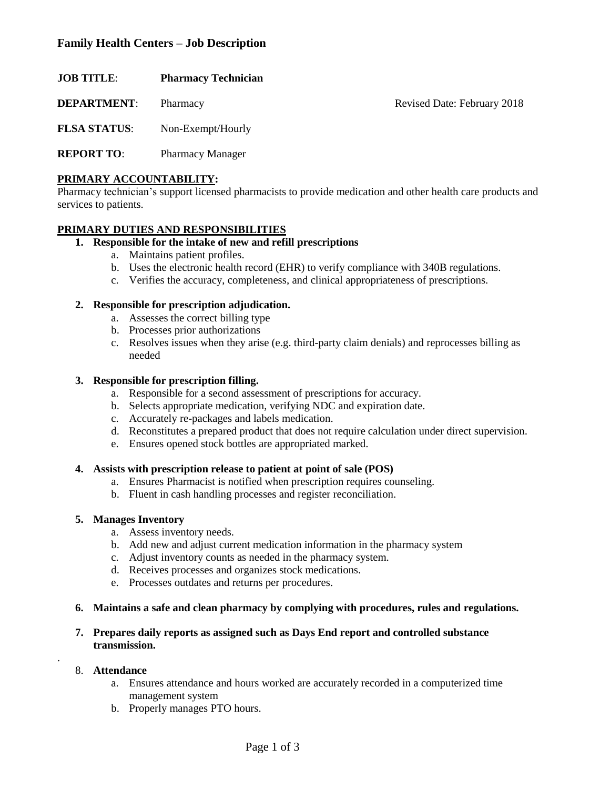# **Family Health Centers – Job Description**

| <b>JOB TITLE:</b>   | <b>Pharmacy Technician</b> |                             |
|---------------------|----------------------------|-----------------------------|
| <b>DEPARTMENT:</b>  | Pharmacy                   | Revised Date: February 2018 |
| <b>FLSA STATUS:</b> | Non-Exempt/Hourly          |                             |

**REPORT TO**: Pharmacy Manager

### **PRIMARY ACCOUNTABILITY:**

Pharmacy technician's support licensed pharmacists to provide medication and other health care products and services to patients.

## **PRIMARY DUTIES AND RESPONSIBILITIES**

# **1. Responsible for the intake of new and refill prescriptions**

- a. Maintains patient profiles.
- b. Uses the electronic health record (EHR) to verify compliance with 340B regulations.
- c. Verifies the accuracy, completeness, and clinical appropriateness of prescriptions.

#### **2. Responsible for prescription adjudication.**

- a. Assesses the correct billing type
- b. Processes prior authorizations
- c. Resolves issues when they arise (e.g. third-party claim denials) and reprocesses billing as needed

#### **3. Responsible for prescription filling.**

- a. Responsible for a second assessment of prescriptions for accuracy.
- b. Selects appropriate medication, verifying NDC and expiration date.
- c. Accurately re-packages and labels medication.
- d. Reconstitutes a prepared product that does not require calculation under direct supervision.
- e. Ensures opened stock bottles are appropriated marked.

#### **4. Assists with prescription release to patient at point of sale (POS)**

- a. Ensures Pharmacist is notified when prescription requires counseling.
- b. Fluent in cash handling processes and register reconciliation.

#### **5. Manages Inventory**

- a. Assess inventory needs.
- b. Add new and adjust current medication information in the pharmacy system
- c. Adjust inventory counts as needed in the pharmacy system.
- d. Receives processes and organizes stock medications.
- e. Processes outdates and returns per procedures.

#### **6. Maintains a safe and clean pharmacy by complying with procedures, rules and regulations.**

#### **7. Prepares daily reports as assigned such as Days End report and controlled substance transmission.**

#### 8. **Attendance**

.

- a. Ensures attendance and hours worked are accurately recorded in a computerized time management system
- b. Properly manages PTO hours.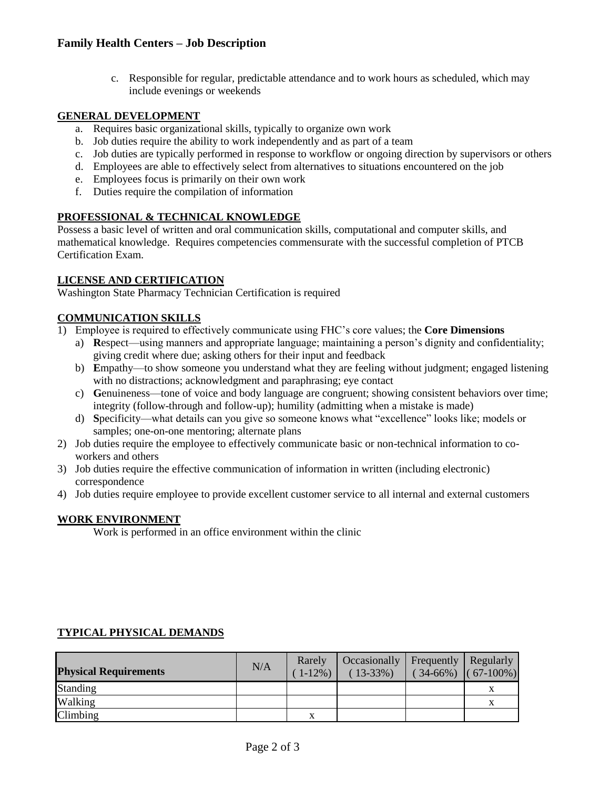c. Responsible for regular, predictable attendance and to work hours as scheduled, which may include evenings or weekends

## **GENERAL DEVELOPMENT**

- a. Requires basic organizational skills, typically to organize own work
- b. Job duties require the ability to work independently and as part of a team
- c. Job duties are typically performed in response to workflow or ongoing direction by supervisors or others
- d. Employees are able to effectively select from alternatives to situations encountered on the job
- e. Employees focus is primarily on their own work
- f. Duties require the compilation of information

# **PROFESSIONAL & TECHNICAL KNOWLEDGE**

Possess a basic level of written and oral communication skills, computational and computer skills, and mathematical knowledge. Requires competencies commensurate with the successful completion of PTCB Certification Exam.

## **LICENSE AND CERTIFICATION**

Washington State Pharmacy Technician Certification is required

## **COMMUNICATION SKILLS**

- 1) Employee is required to effectively communicate using FHC's core values; the **Core Dimensions**
	- a) **R**espect—using manners and appropriate language; maintaining a person's dignity and confidentiality; giving credit where due; asking others for their input and feedback
	- b) **E**mpathy—to show someone you understand what they are feeling without judgment; engaged listening with no distractions; acknowledgment and paraphrasing; eye contact
	- c) **G**enuineness—tone of voice and body language are congruent; showing consistent behaviors over time; integrity (follow-through and follow-up); humility (admitting when a mistake is made)
	- d) **S**pecificity—what details can you give so someone knows what "excellence" looks like; models or samples; one-on-one mentoring; alternate plans
- 2) Job duties require the employee to effectively communicate basic or non-technical information to coworkers and others
- 3) Job duties require the effective communication of information in written (including electronic) correspondence
- 4) Job duties require employee to provide excellent customer service to all internal and external customers

#### **WORK ENVIRONMENT**

Work is performed in an office environment within the clinic

| <b>Physical Requirements</b> | N/A | Rarely<br>$(1-12\%)$ | Occasionally   Frequently   Regularly<br>$(13-33\%)$ | $(34-66%)$ $(67-100%)$ |  |
|------------------------------|-----|----------------------|------------------------------------------------------|------------------------|--|
| Standing                     |     |                      |                                                      |                        |  |
| Walking                      |     |                      |                                                      |                        |  |
| Climbing                     |     |                      |                                                      |                        |  |

# **TYPICAL PHYSICAL DEMANDS**